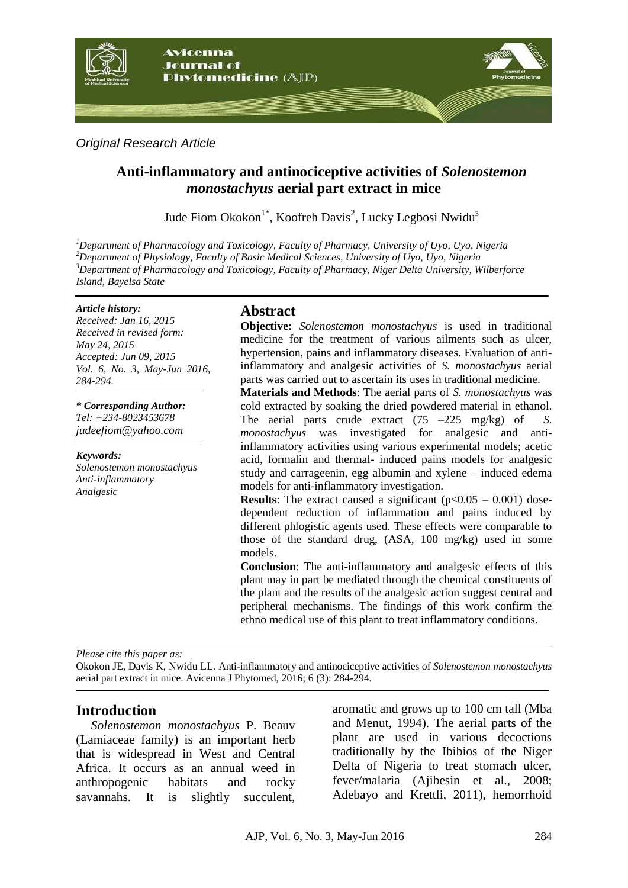

*Original Research Article*

# **Anti-inflammatory and antinociceptive activities of** *Solenostemon monostachyus* **aerial part extract in mice**

Jude Fiom Okokon<sup>1\*</sup>, Koofreh Davis<sup>2</sup>, Lucky Legbosi Nwidu<sup>3</sup>

*Department of Pharmacology and Toxicology, Faculty of Pharmacy, University of Uyo, Uyo, Nigeria Department of Physiology, Faculty of Basic Medical Sciences, University of Uyo, Uyo, Nigeria Department of Pharmacology and Toxicology, Faculty of Pharmacy, Niger Delta University, Wilberforce Island, Bayelsa State*

#### *Article history:*

*Received: Jan 16, 2015 Received in revised form: May 24, 2015 Accepted: Jun 09, 2015 Vol. 6, No. 3, May-Jun 2016, 284-294.*

*\* Corresponding Author: Tel: +234-8023453678 judeefiom@yahoo.com*

*Keywords: Solenostemon monostachyus Anti-inflammatory Analgesic*

# **Abstract**

**Objective:** *Solenostemon monostachyus* is used in traditional medicine for the treatment of various ailments such as ulcer, hypertension, pains and inflammatory diseases. Evaluation of antiinflammatory and analgesic activities of *S. monostachyus* aerial parts was carried out to ascertain its uses in traditional medicine.

**Materials and Methods**: The aerial parts of *S. monostachyus* was cold extracted by soaking the dried powdered material in ethanol. The aerial parts crude extract (75 –225 mg/kg) of *S. monostachyus* was investigated for analgesic and antiinflammatory activities using various experimental models; acetic acid, formalin and thermal- induced pains models for analgesic study and carrageenin, egg albumin and xylene – induced edema models for anti-inflammatory investigation.

**Results**: The extract caused a significant  $(p<0.05 - 0.001)$  dosedependent reduction of inflammation and pains induced by different phlogistic agents used. These effects were comparable to those of the standard drug, (ASA, 100 mg/kg) used in some models.

**Conclusion**: The anti-inflammatory and analgesic effects of this plant may in part be mediated through the chemical constituents of the plant and the results of the analgesic action suggest central and peripheral mechanisms. The findings of this work confirm the ethno medical use of this plant to treat inflammatory conditions.

*Please cite this paper as:* 

Okokon JE, Davis K, Nwidu LL. Anti-inflammatory and antinociceptive activities of *Solenostemon monostachyus* aerial part extract in mice. Avicenna J Phytomed, 2016; 6 (3): 284-294*.*

# **Introduction**

*Solenostemon monostachyus* P. Beauv (Lamiaceae family) is an important herb that is widespread in West and Central Africa. It occurs as an annual weed in anthropogenic habitats and rocky savannahs. It is slightly succulent, aromatic and grows up to 100 cm tall (Mba and Menut, 1994). The aerial parts of the plant are used in various decoctions traditionally by the Ibibios of the Niger Delta of Nigeria to treat stomach ulcer, fever/malaria (Ajibesin et al., 2008; Adebayo and Krettli, 2011), hemorrhoid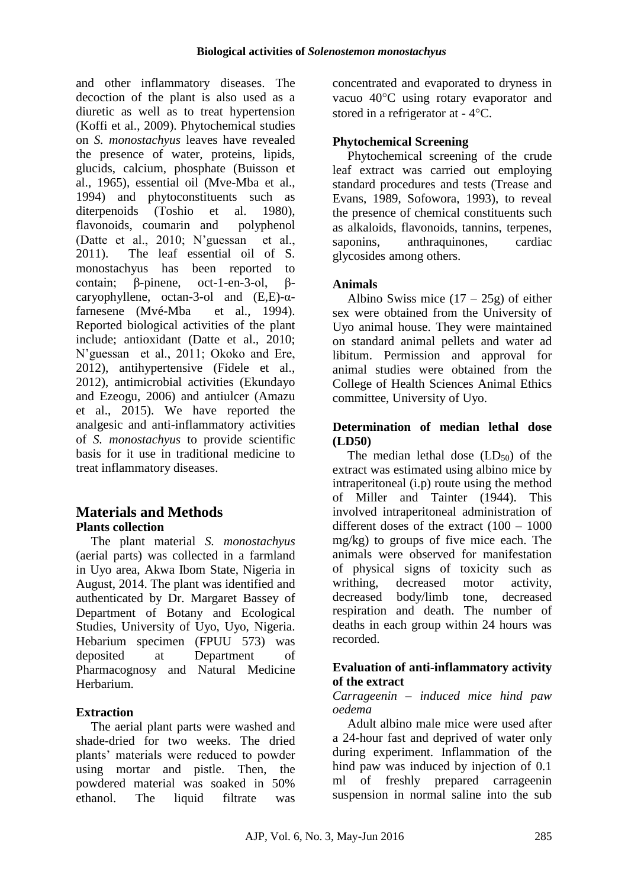and other inflammatory diseases. The decoction of the plant is also used as a diuretic as well as to treat hypertension (Koffi et al., 2009). Phytochemical studies on *S. monostachyus* leaves have revealed the presence of water, proteins, lipids, glucids, calcium, phosphate (Buisson et al., 1965), essential oil (Mve-Mba et al., 1994) and phytoconstituents such as diterpenoids (Toshio et al. 1980), flavonoids, coumarin and polyphenol (Datte et al., 2010; N'guessan et al., 2011). The leaf essential oil of S. monostachyus has been reported to contain; β-pinene, oct-1-en-3-ol, βcaryophyllene, octan-3-ol and (E,E)-αfarnesene (Mvé-Mba et al., 1994). Reported biological activities of the plant include; antioxidant (Datte et al., 2010; N'guessan et al., 2011; Okoko and Ere, 2012), antihypertensive (Fidele et al., 2012), antimicrobial activities (Ekundayo and Ezeogu, 2006) and antiulcer (Amazu et al., 2015). We have reported the analgesic and anti-inflammatory activities of *S. monostachyus* to provide scientific basis for it use in traditional medicine to treat inflammatory diseases.

# **Materials and Methods Plants collection**

The plant material *S. monostachyus* (aerial parts) was collected in a farmland in Uyo area, Akwa Ibom State, Nigeria in August, 2014. The plant was identified and authenticated by Dr. Margaret Bassey of Department of Botany and Ecological Studies, University of Uyo, Uyo, Nigeria. Hebarium specimen (FPUU 573) was deposited at Department of Pharmacognosy and Natural Medicine Herbarium.

# **Extraction**

The aerial plant parts were washed and shade-dried for two weeks. The dried plants' materials were reduced to powder using mortar and pistle. Then, the powdered material was soaked in 50% ethanol. The liquid filtrate was

concentrated and evaporated to dryness in vacuo 40°C using rotary evaporator and stored in a refrigerator at  $-4$ °C.

## **Phytochemical Screening**

Phytochemical screening of the crude leaf extract was carried out employing standard procedures and tests (Trease and Evans, 1989, Sofowora, 1993), to reveal the presence of chemical constituents such as alkaloids, flavonoids, tannins, terpenes, saponins, anthraquinones, cardiac glycosides among others.

## **Animals**

Albino Swiss mice  $(17 – 25g)$  of either sex were obtained from the University of Uyo animal house. They were maintained on standard animal pellets and water ad libitum. Permission and approval for animal studies were obtained from the College of Health Sciences Animal Ethics committee, University of Uyo.

### **Determination of median lethal dose (LD50)**

The median lethal dose  $(LD_{50})$  of the extract was estimated using albino mice by intraperitoneal (i.p) route using the method of Miller and Tainter (1944). This involved intraperitoneal administration of different doses of the extract (100 – 1000 mg/kg) to groups of five mice each. The animals were observed for manifestation of physical signs of toxicity such as writhing, decreased motor activity, decreased body/limb tone, decreased respiration and death. The number of deaths in each group within 24 hours was recorded.

### **Evaluation of anti-inflammatory activity of the extract**

### *Carrageenin – induced mice hind paw oedema*

Adult albino male mice were used after a 24-hour fast and deprived of water only during experiment. Inflammation of the hind paw was induced by injection of 0.1 ml of freshly prepared carrageenin suspension in normal saline into the sub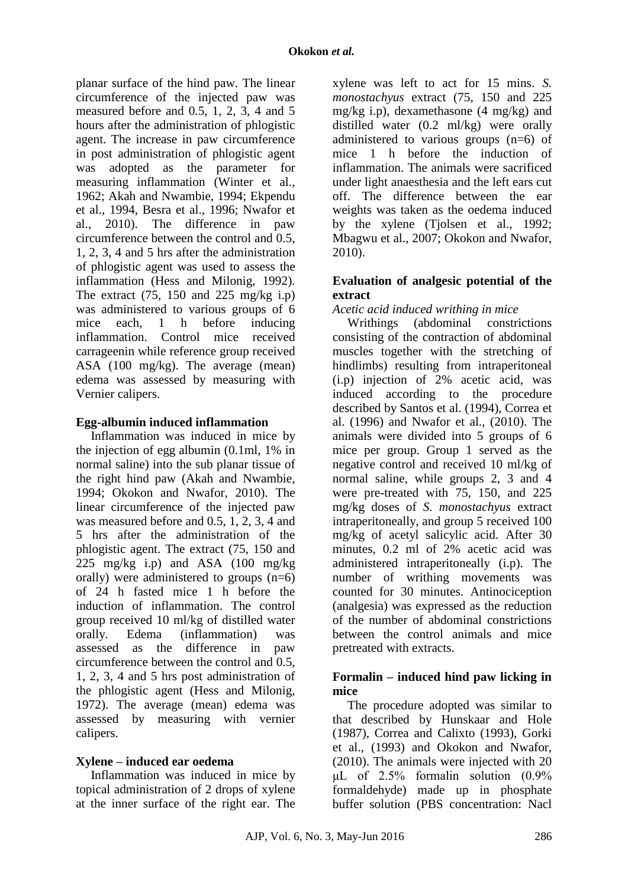planar surface of the hind paw. The linear circumference of the injected paw was measured before and 0.5, 1, 2, 3, 4 and 5 hours after the administration of phlogistic agent. The increase in paw circumference in post administration of phlogistic agent was adopted as the parameter for measuring inflammation (Winter et al., 1962; Akah and Nwambie, 1994; Ekpendu et al., 1994, Besra et al., 1996; Nwafor et al., 2010). The difference in paw circumference between the control and 0.5, 1, 2, 3, 4 and 5 hrs after the administration of phlogistic agent was used to assess the inflammation (Hess and Milonig, 1992). The extract  $(75, 150 \text{ and } 225 \text{ mg/kg } i.p)$ was administered to various groups of 6 mice each, 1 h before inducing inflammation. Control mice received carrageenin while reference group received ASA (100 mg/kg). The average (mean) edema was assessed by measuring with Vernier calipers.

### **Egg-albumin induced inflammation**

Inflammation was induced in mice by the injection of egg albumin (0.1ml, 1% in normal saline) into the sub planar tissue of the right hind paw (Akah and Nwambie, 1994; Okokon and Nwafor, 2010). The linear circumference of the injected paw was measured before and 0.5, 1, 2, 3, 4 and 5 hrs after the administration of the phlogistic agent. The extract (75, 150 and 225 mg/kg i.p) and ASA (100 mg/kg orally) were administered to groups  $(n=6)$ of 24 h fasted mice 1 h before the induction of inflammation. The control group received 10 ml/kg of distilled water orally. Edema (inflammation) was assessed as the difference in paw circumference between the control and 0.5, 1, 2, 3, 4 and 5 hrs post administration of the phlogistic agent (Hess and Milonig, 1972). The average (mean) edema was assessed by measuring with vernier calipers.

# **Xylene – induced ear oedema**

Inflammation was induced in mice by topical administration of 2 drops of xylene at the inner surface of the right ear. The

xylene was left to act for 15 mins. *S. monostachyus* extract (75, 150 and 225 mg/kg i.p), dexamethasone (4 mg/kg) and distilled water (0.2 ml/kg) were orally administered to various groups  $(n=6)$  of mice 1 h before the induction of inflammation. The animals were sacrificed under light anaesthesia and the left ears cut off. The difference between the ear weights was taken as the oedema induced by the xylene (Tjolsen et al., 1992; Mbagwu et al., 2007; Okokon and Nwafor, 2010).

### **Evaluation of analgesic potential of the extract**

### *Acetic acid induced writhing in mice*

Writhings (abdominal constrictions consisting of the contraction of abdominal muscles together with the stretching of hindlimbs) resulting from intraperitoneal (i.p) injection of 2% acetic acid, was induced according to the procedure described by Santos et al. (1994), Correa et al. (1996) and Nwafor et al., (2010). The animals were divided into 5 groups of 6 mice per group. Group 1 served as the negative control and received 10 ml/kg of normal saline, while groups 2, 3 and 4 were pre-treated with 75, 150, and 225 mg/kg doses of *S. monostachyus* extract intraperitoneally, and group 5 received 100 mg/kg of acetyl salicylic acid. After 30 minutes, 0.2 ml of 2% acetic acid was administered intraperitoneally (i.p). The number of writhing movements was counted for 30 minutes. Antinociception (analgesia) was expressed as the reduction of the number of abdominal constrictions between the control animals and mice pretreated with extracts.

### **Formalin – induced hind paw licking in mice**

The procedure adopted was similar to that described by Hunskaar and Hole (1987), Correa and Calixto (1993), Gorki et al., (1993) and Okokon and Nwafor, (2010). The animals were injected with 20 μL of 2.5% formalin solution (0.9% formaldehyde) made up in phosphate buffer solution (PBS concentration: Nacl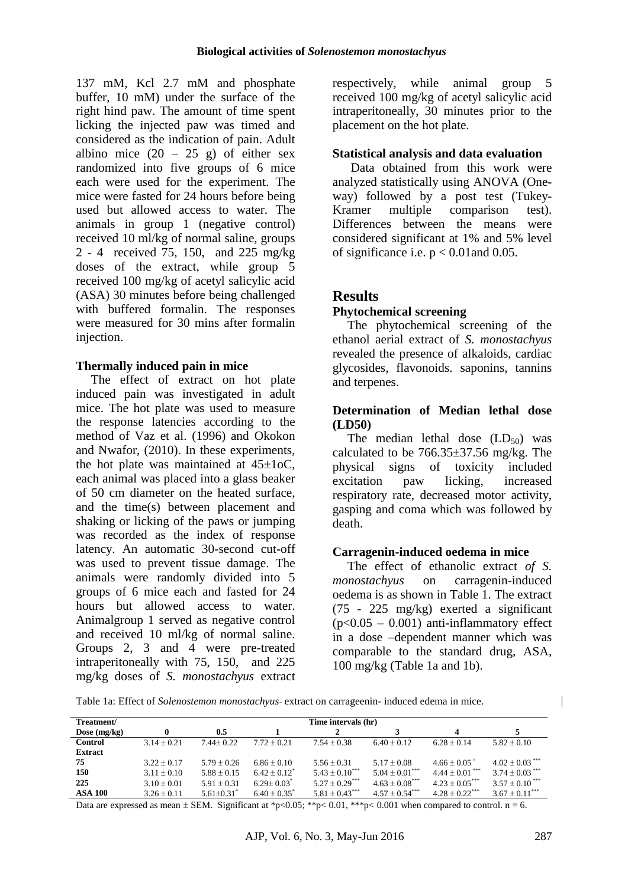137 mM, Kcl 2.7 mM and phosphate buffer, 10 mM) under the surface of the right hind paw. The amount of time spent licking the injected paw was timed and considered as the indication of pain. Adult albino mice  $(20 - 25$  g) of either sex randomized into five groups of 6 mice each were used for the experiment. The mice were fasted for 24 hours before being used but allowed access to water. The animals in group 1 (negative control) received 10 ml/kg of normal saline, groups 2 - 4 received 75, 150, and 225 mg/kg doses of the extract, while group 5 received 100 mg/kg of acetyl salicylic acid (ASA) 30 minutes before being challenged with buffered formalin. The responses were measured for 30 mins after formalin injection.

#### **Thermally induced pain in mice**

The effect of extract on hot plate induced pain was investigated in adult mice. The hot plate was used to measure the response latencies according to the method of Vaz et al. (1996) and Okokon and Nwafor, (2010). In these experiments, the hot plate was maintained at  $45\pm10$ C, each animal was placed into a glass beaker of 50 cm diameter on the heated surface, and the time(s) between placement and shaking or licking of the paws or jumping was recorded as the index of response latency. An automatic 30-second cut-off was used to prevent tissue damage. The animals were randomly divided into 5 groups of 6 mice each and fasted for 24 hours but allowed access to water. Animalgroup 1 served as negative control and received 10 ml/kg of normal saline. Groups 2, 3 and 4 were pre-treated intraperitoneally with 75, 150, and 225 mg/kg doses of *S. monostachyus* extract respectively, while animal group 5 received 100 mg/kg of acetyl salicylic acid intraperitoneally, 30 minutes prior to the placement on the hot plate.

#### **Statistical analysis and data evaluation**

Data obtained from this work were analyzed statistically using ANOVA (Oneway) followed by a post test (Tukey-Kramer multiple comparison test). Differences between the means were considered significant at 1% and 5% level of significance i.e.  $p < 0.01$  and 0.05.

### **Results**

### **Phytochemical screening**

The phytochemical screening of the ethanol aerial extract of *S. monostachyus* revealed the presence of alkaloids, cardiac glycosides, flavonoids. saponins, tannins and terpenes.

#### **Determination of Median lethal dose (LD50)**

The median lethal dose  $(LD_{50})$  was calculated to be  $766.35 \pm 37.56$  mg/kg. The physical signs of toxicity included excitation paw licking, increased respiratory rate, decreased motor activity, gasping and coma which was followed by death.

#### **Carragenin-induced oedema in mice**

The effect of ethanolic extract *of S. monostachyus* on carragenin-induced oedema is as shown in Table 1. The extract (75 - 225 mg/kg) exerted a significant  $(p<0.05 - 0.001)$  anti-inflammatory effect in a dose –dependent manner which was comparable to the standard drug, ASA, 100 mg/kg (Table 1a and 1b).

Table 1a: Effect of *Solenostemon monostachyus* extract on carrageenin- induced edema in mice.

| Treatment/     |                 |                            |                 | Time intervals (hr)            |                                |                                |                              |
|----------------|-----------------|----------------------------|-----------------|--------------------------------|--------------------------------|--------------------------------|------------------------------|
| Dose $(mg/kg)$ |                 | 0.5                        |                 |                                |                                | 4                              |                              |
| Control        | $3.14 + 0.21$   | $7.44 + 0.22$              | $7.72 + 0.21$   | $7.54 + 0.38$                  | $6.40 \pm 0.12$                | $6.28 + 0.14$                  | $5.82 + 0.10$                |
| <b>Extract</b> |                 |                            |                 |                                |                                |                                |                              |
| 75             | $3.22 + 0.17$   | $5.79 + 0.26$              | $6.86 \pm 0.10$ | $5.56 \pm 0.31$                | $5.17 + 0.08$                  | $4.66 \pm 0.05$                | $4.02 + 0.03$ ***            |
| 150            | $3.11 + 0.10$   | $5.88 + 0.15$              | $6.42 + 0.12^*$ | $5.43 \pm 0.10$ <sup>***</sup> | $5.04 \pm 0.01$ <sup>***</sup> | $4.44 \pm 0.01$ <sup>***</sup> | $3.74 + 0.03$ <sup>***</sup> |
| 225            | $3.10 + 0.01$   | $5.91 + 0.31$              | $6.29 \pm 0.03$ | $5.27 \pm 0.29$ <sup>***</sup> | $4.63 \pm 0.08$ <sup>***</sup> | $4.23 \pm 0.05$ <sup>***</sup> | $3.57 + 0.10$ <sup>***</sup> |
| <b>ASA 100</b> | $3.26 \pm 0.11$ | $5.61 + 0.31$ <sup>*</sup> | $6.40 + 0.35^*$ | $5.81 + 0.43***$               | $4.57 + 0.54***$               | $4.28 + 0.22$ <sup>***</sup>   | $3.67 \pm 0.11***$           |

Data are expressed as mean  $\pm$  SEM. Significant at \*p<0.05; \*\*p< 0.01, \*\*\*p< 0.001 when compared to control. n = 6.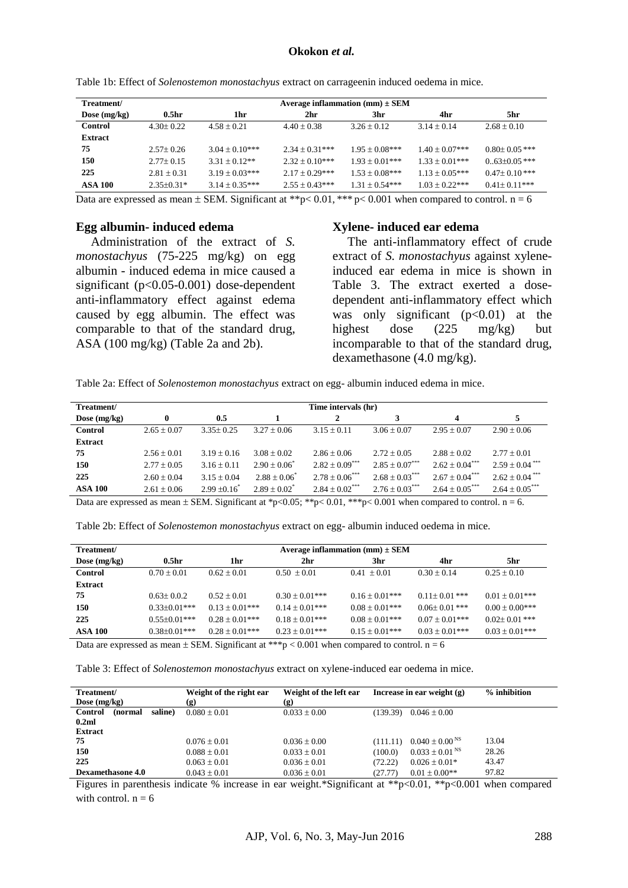| Treatment/     | Average inflammation (mm) $\pm$ SEM |                    |                    |                     |                   |                     |  |  |
|----------------|-------------------------------------|--------------------|--------------------|---------------------|-------------------|---------------------|--|--|
| Dose $(mg/kg)$ | 0.5 <sub>hr</sub>                   | 1hr                | 2hr                | 3hr                 | 4hr               | 5hr.                |  |  |
| Control        | $4.30 \pm 0.22$                     | $4.58 + 0.21$      | $4.40 + 0.38$      | $3.26 \pm 0.12$     | $3.14 + 0.14$     | $2.68 + 0.10$       |  |  |
| <b>Extract</b> |                                     |                    |                    |                     |                   |                     |  |  |
| 75             | $2.57+0.26$                         | $3.04 \pm 0.10***$ | $2.34 + 0.31***$   | $1.95 + 0.08***$    | $1.40 + 0.07$ *** | $0.80 + 0.05$ ***   |  |  |
| 150            | $2.77+0.15$                         | $3.31 + 0.12**$    | $2.32 \pm 0.10***$ | $1.93 + 0.01***$    | $1.33 + 0.01***$  | $0.63 \pm 0.05$ *** |  |  |
| 225            | $2.81 + 0.31$                       | $3.19 + 0.03***$   | $2.17 + 0.29***$   | $1.53 \pm 0.08$ *** | $1.13 + 0.05***$  | $0.47+0.10***$      |  |  |
| ASA 100        | $2.35+0.31*$                        | $3.14 \pm 0.35***$ | $2.55 \pm 0.43***$ | $1.31 + 0.54***$    | $1.03 + 0.22***$  | $0.41+0.11***$      |  |  |

Table 1b: Effect of *Solenostemon monostachyus* extract on carrageenin induced oedema in mice.

Data are expressed as mean  $\pm$  SEM. Significant at \*\*p< 0.01, \*\*\* p< 0.001 when compared to control. n = 6

#### **Egg albumin- induced edema**

Administration of the extract of *S. monostachyus* (75-225 mg/kg) on egg albumin - induced edema in mice caused a significant (p<0.05-0.001) dose-dependent anti-inflammatory effect against edema caused by egg albumin. The effect was comparable to that of the standard drug, ASA (100 mg/kg) (Table 2a and 2b).

#### **Xylene- induced ear edema**

The anti-inflammatory effect of crude extract of *S. monostachyus* against xyleneinduced ear edema in mice is shown in Table 3. The extract exerted a dosedependent anti-inflammatory effect which was only significant  $(p<0.01)$  at the highest dose (225 mg/kg) but incomparable to that of the standard drug, dexamethasone (4.0 mg/kg).

Table 2a: Effect of *Solenostemon monostachyus* extract on egg- albumin induced edema in mice.

| Treatment/     | Time intervals (hr) |                 |                 |                                |                                |                    |                                |  |
|----------------|---------------------|-----------------|-----------------|--------------------------------|--------------------------------|--------------------|--------------------------------|--|
| Dose $(mg/kg)$ | 0                   | 0.5             |                 | 2                              | 3                              | 4                  | 5                              |  |
| <b>Control</b> | $2.65 + 0.07$       | $3.35+0.25$     | $3.27 + 0.06$   | $3.15 + 0.11$                  | $3.06 + 0.07$                  | $2.95 + 0.07$      | $2.90 + 0.06$                  |  |
| <b>Extract</b> |                     |                 |                 |                                |                                |                    |                                |  |
| 75             | $2.56 \pm 0.01$     | $3.19 + 0.16$   | $3.08 + 0.02$   | $2.86 \pm 0.06$                | $2.72 + 0.05$                  | $2.88 + 0.02$      | $2.77 + 0.01$                  |  |
| 150            | $2.77 \pm 0.05$     | $3.16 \pm 0.11$ | $2.90 + 0.06^*$ | $2.82 \pm 0.09$ <sup>***</sup> | $2.85 \pm 0.07***$             | $2.62 \pm 0.04***$ | $2.59 \pm 0.04$ <sup>***</sup> |  |
| 225            | $2.60 + 0.04$       | $3.15 + 0.04$   | $2.88 + 0.06^*$ | $2.78 + 0.06***$               | $2.68 \pm 0.03***$             | $2.67 \pm 0.04***$ | $2.62 \pm 0.04$ <sup>***</sup> |  |
| <b>ASA 100</b> | $2.61 \pm 0.06$     | $2.99 + 0.16^*$ | $2.89 + 0.02^*$ | $2.84 \pm 0.02$ <sup>***</sup> | $2.76 \pm 0.03$ <sup>***</sup> | $2.64 \pm 0.05***$ | $2.64 \pm 0.05$ <sup>***</sup> |  |

Data are expressed as mean  $\pm$  SEM. Significant at \*p<0.05; \*\*p<0.01, \*\*\*p<0.001 when compared to control. n = 6.

| Table 2b: Effect of Solenostemon monostachyus extract on egg- albumin induced oedema in mice. |  |
|-----------------------------------------------------------------------------------------------|--|
|-----------------------------------------------------------------------------------------------|--|

| Treatment/     | Average inflammation (mm) $\pm$ SEM |                  |                                                                                                            |                     |                   |                     |  |  |
|----------------|-------------------------------------|------------------|------------------------------------------------------------------------------------------------------------|---------------------|-------------------|---------------------|--|--|
| Dose $(mg/kg)$ | 0.5 <sub>hr</sub>                   | 1hr              | 2hr                                                                                                        | 3hr                 | 4hr               | 5hr                 |  |  |
| <b>Control</b> | $0.70 + 0.01$                       | $0.62 \pm 0.01$  | $0.50 + 0.01$                                                                                              | $0.41 + 0.01$       | $0.30 + 0.14$     | $0.25 \pm 0.10$     |  |  |
| <b>Extract</b> |                                     |                  |                                                                                                            |                     |                   |                     |  |  |
| 75             | $0.63 + 0.02$                       | $0.52 + 0.01$    | $0.30 + 0.01***$                                                                                           | $0.16 \pm 0.01$ *** | $0.11+0.01$ ***   | $0.01 \pm 0.01$ *** |  |  |
| 150            | $0.33+0.01***$                      | $0.13 + 0.01***$ | $0.14 + 0.01***$                                                                                           | $0.08 + 0.01$ ***   | $0.06 + 0.01$ *** | $0.00 + 0.00$ ***   |  |  |
| 225            | $0.55+0.01***$                      | $0.28 + 0.01***$ | $0.18 \pm 0.01***$                                                                                         | $0.08 + 0.01$ ***   | $0.07 + 0.01***$  | $0.02 + 0.01$ ***   |  |  |
| <b>ASA 100</b> | $0.38 + 0.01***$                    | $0.28 + 0.01***$ | $0.23 + 0.01***$                                                                                           | $0.15 + 0.01***$    | $0.03 + 0.01$ *** | $0.03 \pm 0.01***$  |  |  |
|                |                                     |                  | Deta are avanageed as maan $\pm$ CEM. Comificant at *** $\alpha$ 0.001 when assumed to control $n - \zeta$ |                     |                   |                     |  |  |

Data are expressed as mean  $\pm$  SEM. Significant at \*\*\*p < 0.001 when compared to control. n = 6

Table 3: Effect of *Solenostemon monostachyus* extract on xylene-induced ear oedema in mice.

| Treatment/<br>Dose $(mg/kg)$  | Weight of the right ear<br>(g) | Weight of the left ear<br>Increase in ear weight $(g)$<br>(g) |                                            | $%$ inhibition |
|-------------------------------|--------------------------------|---------------------------------------------------------------|--------------------------------------------|----------------|
| Control<br>saline)<br>(normal | $0.080 + 0.01$                 | $0.033 + 0.00$                                                | (139.39)<br>$0.046 \pm 0.00$               |                |
| 0.2ml                         |                                |                                                               |                                            |                |
| <b>Extract</b>                |                                |                                                               |                                            |                |
| 75                            | $0.076 \pm 0.01$               | $0.036 \pm 0.00$                                              | $0.040 \pm 0.00$ <sup>NS</sup><br>(111.11) | 13.04          |
| 150                           | $0.088 + 0.01$                 | $0.033 \pm 0.01$                                              | $0.033 \pm 0.01$ <sup>NS</sup><br>(100.0)  | 28.26          |
| 225                           | $0.063 + 0.01$                 | $0.036 \pm 0.01$                                              | (72.22)<br>$0.026 \pm 0.01*$               | 43.47          |
| <b>Dexamethasone 4.0</b>      | $0.043 \pm 0.01$               | $0.036 \pm 0.01$                                              | $0.01 + 0.00**$<br>(27.77)                 | 97.82          |

Figures in parenthesis indicate % increase in ear weight.\*Significant at \*\*p<0.01, \*\*p<0.001 when compared with control.  $n = 6$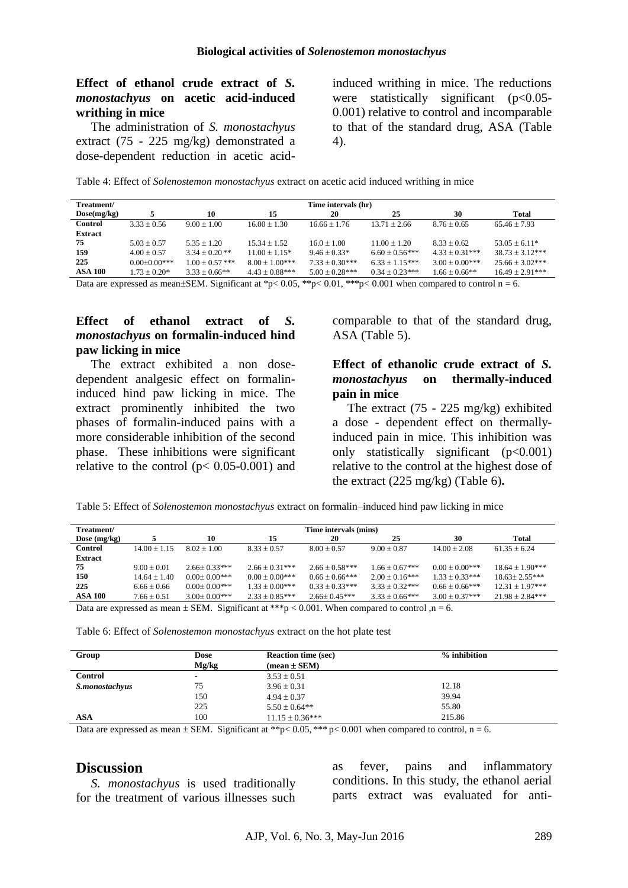### **Effect of ethanol crude extract of** *S. monostachyus* **on acetic acid-induced writhing in mice**

The administration of *S. monostachyus*  extract (75 - 225 mg/kg) demonstrated a dose-dependent reduction in acetic acid-

induced writhing in mice. The reductions were statistically significant  $(p<0.05$ -0.001) relative to control and incomparable to that of the standard drug, ASA (Table 4).

Table 4: Effect of *Solenostemon monostachyus* extract on acetic acid induced writhing in mice

| Treatment/     |                | Time intervals (hr) |                   |                  |                  |                    |                     |  |
|----------------|----------------|---------------------|-------------------|------------------|------------------|--------------------|---------------------|--|
| Dose(mg/kg)    |                | 10                  | 15                | 20               | 25               | 30                 | Total               |  |
| <b>Control</b> | $3.33 + 0.56$  | $9.00 + 1.00$       | $16.00 \pm 1.30$  | $16.66 + 1.76$   | $13.71 + 2.66$   | $8.76 \pm 0.65$    | $65.46 + 7.93$      |  |
| <b>Extract</b> |                |                     |                   |                  |                  |                    |                     |  |
| 75             | $5.03 + 0.57$  | $5.35 + 1.20$       | $15.34 + 1.52$    | $16.0 + 1.00$    | $11.00 + 1.20$   | $8.33 + 0.62$      | $53.05 + 6.11*$     |  |
| 159            | $4.00 + 0.57$  | $3.34 + 0.20$ **    | $11.00 + 1.15*$   | $9.46 + 0.33*$   | $6.60 + 0.56***$ | $4.33 \pm 0.31***$ | $38.73 \pm 3.12***$ |  |
| 225            | $0.00+0.00***$ | $1.00 + 0.57$ ***   | $8.00 + 1.00$ *** | $7.33 + 0.30***$ | $6.33 + 1.15***$ | $3.00 + 0.00$ ***  | $25.66 + 3.02***$   |  |
| <b>ASA 100</b> | $1.73 + 0.20*$ | $3.33 + 0.66**$     | $4.43 + 0.88***$  | $5.00 + 0.28***$ | $0.34 + 0.23***$ | $1.66 + 0.66**$    | $16.49 + 2.91***$   |  |
|                |                |                     |                   |                  |                  |                    |                     |  |

Data are expressed as mean±SEM. Significant at \*p< 0.05, \*\*p< 0.01, \*\*\*p< 0.001 when compared to control  $n = 6$ .

#### **Effect of ethanol extract of** *S. monostachyus* **on formalin-induced hind paw licking in mice**

The extract exhibited a non dosedependent analgesic effect on formalininduced hind paw licking in mice. The extract prominently inhibited the two phases of formalin-induced pains with a more considerable inhibition of the second phase. These inhibitions were significant relative to the control ( $p < 0.05$ -0.001) and comparable to that of the standard drug, ASA (Table 5).

### **Effect of ethanolic crude extract of** *S. monostachyus* **on thermally-induced pain in mice**

The extract (75 - 225 mg/kg) exhibited a dose - dependent effect on thermallyinduced pain in mice. This inhibition was only statistically significant  $(p<0.001)$ relative to the control at the highest dose of the extract (225 mg/kg) (Table 6)**.**

Table 5: Effect of *Solenostemon monostachyus* extract on formalin–induced hind paw licking in mice

| Treatment/                                                                                          | Time intervals (mins) |                     |                     |                     |                  |                     |                     |
|-----------------------------------------------------------------------------------------------------|-----------------------|---------------------|---------------------|---------------------|------------------|---------------------|---------------------|
| Dose $(mg/kg)$                                                                                      |                       | 10                  | 15                  | 20                  | 25               | 30                  | Total               |
| <b>Control</b>                                                                                      | $14.00 + 1.15$        | $8.02 + 1.00$       | $8.33 + 0.57$       | $8.00 + 0.57$       | $9.00 + 0.87$    | $14.00 + 2.08$      | $61.35 \pm 6.24$    |
| <b>Extract</b>                                                                                      |                       |                     |                     |                     |                  |                     |                     |
| 75                                                                                                  | $9.00 + 0.01$         | $2.66+0.33***$      | $2.66 + 0.31***$    | $2.66 \pm 0.58$ *** | $1.66 + 0.67***$ | $0.00 \pm 0.00$ *** | $18.64 \pm 1.90***$ |
| 150                                                                                                 | $14.64 + 1.40$        | $0.00 \pm 0.00$ *** | $0.00 \pm 0.00$ *** | $0.66 \pm 0.66$ *** | $2.00 + 0.16***$ | $1.33 + 0.33***$    | $18.63 + 2.55***$   |
| 225                                                                                                 | $6.66 + 0.66$         | $0.00+0.00***$      | $1.33 \pm 0.00$ *** | $0.33 + 0.33***$    | $3.33 + 0.32***$ | $0.66 + 0.66$ ***   | $12.31 \pm 1.97***$ |
| <b>ASA 100</b>                                                                                      | $7.66 + 0.51$         | $3.00+0.00***$      | $2.33 \pm 0.85***$  | $2.66+0.45***$      | $3.33 + 0.66***$ | $3.00 + 0.37***$    | $21.98 + 2.84***$   |
| Data are expressed as mean $\pm$ SEM. Significant at ***p < 0.001. When compared to control ,n = 6. |                       |                     |                     |                     |                  |                     |                     |

| <b>Dose</b><br>Mg/kg | <b>Reaction time (sec)</b> | $%$ inhibition                 |
|----------------------|----------------------------|--------------------------------|
| ۰                    | $3.53 \pm 0.51$            |                                |
| 75                   | $3.96 \pm 0.31$            | 12.18                          |
| 150                  | $4.94 \pm 0.37$            | 39.94                          |
| 225                  | $5.50 \pm 0.64**$          | 55.80                          |
| 100                  | $11.15 \pm 0.36***$        | 215.86                         |
|                      |                            | $(\text{mean} \pm \text{SEM})$ |

Data are expressed as mean  $\pm$  SEM. Significant at \*\*p< 0.05, \*\*\* p< 0.001 when compared to control, n = 6.

#### **Discussion**

*S. monostachyus* is used traditionally for the treatment of various illnesses such as fever, pains and inflammatory conditions. In this study, the ethanol aerial parts extract was evaluated for anti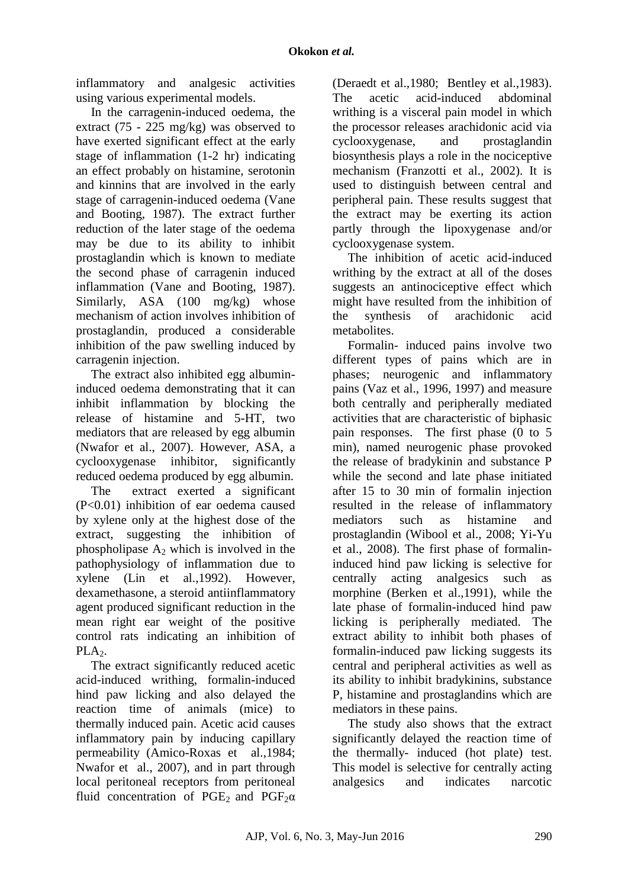inflammatory and analgesic activities using various experimental models.

In the carragenin-induced oedema, the extract (75 - 225 mg/kg) was observed to have exerted significant effect at the early stage of inflammation (1-2 hr) indicating an effect probably on histamine, serotonin and kinnins that are involved in the early stage of carragenin-induced oedema (Vane and Booting, 1987). The extract further reduction of the later stage of the oedema may be due to its ability to inhibit prostaglandin which is known to mediate the second phase of carragenin induced inflammation (Vane and Booting, 1987). Similarly, ASA (100 mg/kg) whose mechanism of action involves inhibition of prostaglandin, produced a considerable inhibition of the paw swelling induced by carragenin injection.

The extract also inhibited egg albumininduced oedema demonstrating that it can inhibit inflammation by blocking the release of histamine and 5-HT, two mediators that are released by egg albumin (Nwafor et al., 2007). However, ASA, a cyclooxygenase inhibitor, significantly reduced oedema produced by egg albumin.

The extract exerted a significant (P<0.01) inhibition of ear oedema caused by xylene only at the highest dose of the extract, suggesting the inhibition of phospholipase  $A_2$  which is involved in the pathophysiology of inflammation due to xylene (Lin et al.,1992). However, dexamethasone, a steroid antiinflammatory agent produced significant reduction in the mean right ear weight of the positive control rats indicating an inhibition of  $PLA<sub>2</sub>$ .

The extract significantly reduced acetic acid-induced writhing, formalin-induced hind paw licking and also delayed the reaction time of animals (mice) to thermally induced pain. Acetic acid causes inflammatory pain by inducing capillary permeability (Amico-Roxas et al.,1984; Nwafor et al., 2007), and in part through local peritoneal receptors from peritoneal fluid concentration of PGE<sub>2</sub> and PGF<sub>2</sub> $\alpha$ 

(Deraedt et al.,1980; Bentley et al.,1983). The acetic acid-induced abdominal writhing is a visceral pain model in which the processor releases arachidonic acid via cyclooxygenase, and prostaglandin biosynthesis plays a role in the nociceptive mechanism (Franzotti et al., 2002). It is used to distinguish between central and peripheral pain. These results suggest that the extract may be exerting its action partly through the lipoxygenase and/or cyclooxygenase system.

The inhibition of acetic acid-induced writhing by the extract at all of the doses suggests an antinociceptive effect which might have resulted from the inhibition of the synthesis of arachidonic acid metabolites.

Formalin- induced pains involve two different types of pains which are in phases; neurogenic and inflammatory pains (Vaz et al., 1996, 1997) and measure both centrally and peripherally mediated activities that are characteristic of biphasic pain responses. The first phase (0 to 5 min), named neurogenic phase provoked the release of bradykinin and substance P while the second and late phase initiated after 15 to 30 min of formalin injection resulted in the release of inflammatory mediators such as histamine and prostaglandin (Wibool et al., 2008; Yi-Yu et al., 2008). The first phase of formalininduced hind paw licking is selective for centrally acting analgesics such as morphine (Berken et al.,1991), while the late phase of formalin-induced hind paw licking is peripherally mediated. The extract ability to inhibit both phases of formalin-induced paw licking suggests its central and peripheral activities as well as its ability to inhibit bradykinins, substance P, histamine and prostaglandins which are mediators in these pains.

The study also shows that the extract significantly delayed the reaction time of the thermally- induced (hot plate) test. This model is selective for centrally acting analgesics and indicates narcotic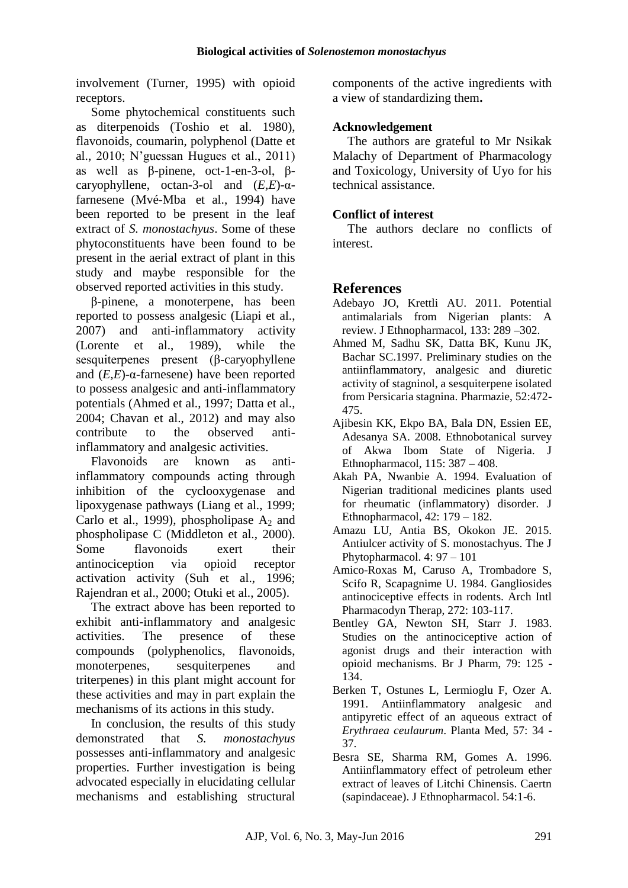involvement (Turner, 1995) with opioid receptors.

Some phytochemical constituents such as diterpenoids (Toshio et al. 1980), flavonoids, coumarin, polyphenol (Datte et al., 2010; N'guessan Hugues et al., 2011) as well as β-pinene, oct-1-en-3-ol, βcaryophyllene, octan-3-ol and (*E,E*)-αfarnesene (Mvé-Mba et al., 1994) have been reported to be present in the leaf extract of *S. monostachyus*. Some of these phytoconstituents have been found to be present in the aerial extract of plant in this study and maybe responsible for the observed reported activities in this study.

β-pinene, a monoterpene, has been reported to possess analgesic (Liapi et al., 2007) and anti-inflammatory activity (Lorente et al., 1989), while the sesquiterpenes present (β-caryophyllene and (*E,E*)-α-farnesene) have been reported to possess analgesic and anti-inflammatory potentials (Ahmed et al., 1997; Datta et al., 2004; Chavan et al., 2012) and may also contribute to the observed antiinflammatory and analgesic activities.

Flavonoids are known as antiinflammatory compounds acting through inhibition of the cyclooxygenase and lipoxygenase pathways (Liang et al., 1999; Carlo et al., 1999), phospholipase  $A_2$  and phospholipase C (Middleton et al., 2000). Some flavonoids exert their antinociception via opioid receptor activation activity (Suh et al., 1996; Rajendran et al., 2000; Otuki et al., 2005).

The extract above has been reported to exhibit anti-inflammatory and analgesic activities. The presence of these compounds (polyphenolics, flavonoids, monoterpenes, sesquiterpenes and triterpenes) in this plant might account for these activities and may in part explain the mechanisms of its actions in this study.

In conclusion, the results of this study demonstrated that *S. monostachyus*  possesses anti-inflammatory and analgesic properties. Further investigation is being advocated especially in elucidating cellular mechanisms and establishing structural components of the active ingredients with a view of standardizing them**.**

## **Acknowledgement**

The authors are grateful to Mr Nsikak Malachy of Department of Pharmacology and Toxicology, University of Uyo for his technical assistance.

## **Conflict of interest**

The authors declare no conflicts of interest.

# **References**

- Adebayo JO, Krettli AU. 2011. Potential antimalarials from Nigerian plants: A review. J Ethnopharmacol, 133: 289 –302.
- Ahmed M, Sadhu SK, Datta BK, Kunu JK, Bachar SC.1997. Preliminary studies on the antiinflammatory, analgesic and diuretic activity of stagninol, a sesquiterpene isolated from Persicaria stagnina. Pharmazie, 52:472- 475.
- Ajibesin KK, Ekpo BA, Bala DN, Essien EE, Adesanya SA. 2008. Ethnobotanical survey of Akwa Ibom State of Nigeria. J Ethnopharmacol, 115: 387 – 408.
- Akah PA, Nwanbie A. 1994. Evaluation of Nigerian traditional medicines plants used for rheumatic (inflammatory) disorder. J Ethnopharmacol, 42: 179 – 182.
- Amazu LU, Antia BS, Okokon JE. 2015. Antiulcer activity of S. monostachyus. The J Phytopharmacol. 4: 97 – 101
- Amico-Roxas M, Caruso A, Trombadore S, Scifo R, Scapagnime U. 1984. Gangliosides antinociceptive effects in rodents. Arch Intl Pharmacodyn Therap, 272: 103-117.
- Bentley GA, Newton SH, Starr J. 1983. Studies on the antinociceptive action of agonist drugs and their interaction with opioid mechanisms. Br J Pharm, 79: 125 - 134.
- Berken T, Ostunes L, Lermioglu F, Ozer A. 1991. Antiinflammatory analgesic and antipyretic effect of an aqueous extract of *Erythraea ceulaurum*. Planta Med, 57: 34 - 37.
- Besra SE, Sharma RM, Gomes A. 1996. Antiinflammatory effect of petroleum ether extract of leaves of Litchi Chinensis. Caertn (sapindaceae). J Ethnopharmacol. 54:1-6.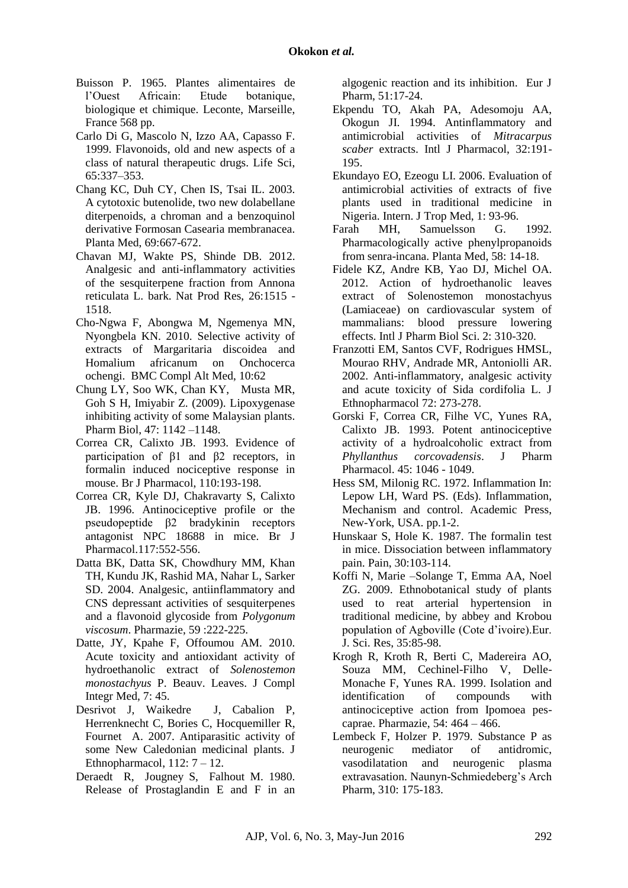- Buisson P. 1965. Plantes alimentaires de l'Ouest Africain: Etude botanique, biologique et chimique. Leconte, Marseille, France 568 pp.
- Carlo Di G, Mascolo N, Izzo AA, Capasso F. 1999. Flavonoids, old and new aspects of a class of natural therapeutic drugs. Life Sci, 65:337–353.
- Chang KC, Duh CY, Chen IS, Tsai IL. 2003. A cytotoxic butenolide, two new dolabellane diterpenoids, a chroman and a benzoquinol derivative Formosan Casearia membranacea. Planta Med, 69:667-672.
- Chavan MJ, Wakte PS, Shinde DB. 2012. Analgesic and anti-inflammatory activities of the sesquiterpene fraction from Annona reticulata L. bark. Nat Prod Res, 26:1515 - 1518.
- Cho-Ngwa F, Abongwa M, Ngemenya MN, Nyongbela KN. 2010. Selective activity of extracts of Margaritaria discoidea and Homalium africanum on Onchocerca ochengi. BMC Compl Alt Med, 10:62
- Chung LY, Soo WK, Chan KY, Musta MR, Goh S H, Imiyabir Z. (2009). Lipoxygenase inhibiting activity of some Malaysian plants. Pharm Biol, 47: 1142 –1148.
- Correa CR, Calixto JB. 1993. Evidence of participation of β1 and β2 receptors, in formalin induced nociceptive response in mouse. Br J Pharmacol, 110:193-198.
- Correa CR, Kyle DJ, Chakravarty S, Calixto JB. 1996. Antinociceptive profile or the pseudopeptide β2 bradykinin receptors antagonist NPC 18688 in mice. Br J Pharmacol.117:552-556.
- Datta BK, Datta SK, Chowdhury MM, Khan TH, Kundu JK, Rashid MA, Nahar L, Sarker SD. 2004. Analgesic, antiinflammatory and CNS depressant activities of sesquiterpenes and a flavonoid glycoside from *Polygonum viscosum*. Pharmazie, 59 :222-225.
- Datte, JY, Kpahe F, Offoumou AM. 2010. Acute toxicity and antioxidant activity of hydroethanolic extract of *Solenostemon monostachyus* P. Beauv. Leaves. J Compl Integr Med, 7: 45.
- Desrivot J, Waikedre J, Cabalion P, Herrenknecht C, Bories C, Hocquemiller R, Fournet A. 2007. Antiparasitic activity of some New Caledonian medicinal plants. J Ethnopharmacol,  $112: 7 - 12$ .
- Deraedt R, Jougney S, Falhout M. 1980. Release of Prostaglandin E and F in an

algogenic reaction and its inhibition. Eur J Pharm, 51:17-24.

- Ekpendu TO, Akah PA, Adesomoju AA, Okogun JI. 1994. Antinflammatory and antimicrobial activities of *Mitracarpus scaber* extracts. Intl J Pharmacol, 32:191- 195.
- Ekundayo EO, Ezeogu LI. 2006. Evaluation of antimicrobial activities of extracts of five plants used in traditional medicine in Nigeria. Intern. J Trop Med, 1: 93-96.
- Farah MH, Samuelsson G. 1992. Pharmacologically active phenylpropanoids from senra-incana. Planta Med, 58: 14-18.
- Fidele KZ, Andre KB, Yao DJ, Michel OA. 2012. Action of hydroethanolic leaves extract of Solenostemon monostachyus (Lamiaceae) on cardiovascular system of mammalians: blood pressure lowering effects. Intl J Pharm Biol Sci. 2: 310-320.
- Franzotti EM, Santos CVF, Rodrigues HMSL, Mourao RHV, Andrade MR, Antoniolli AR. 2002. Anti-inflammatory, analgesic activity and acute toxicity of Sida cordifolia L. J Ethnopharmacol 72: 273-278.
- Gorski F, Correa CR, Filhe VC, Yunes RA, Calixto JB. 1993. Potent antinociceptive activity of a hydroalcoholic extract from *Phyllanthus corcovadensis*. J Pharm Pharmacol. 45: 1046 - 1049.
- Hess SM, Milonig RC. 1972. Inflammation In: Lepow LH, Ward PS. (Eds). Inflammation, Mechanism and control. Academic Press, New-York, USA. pp.1-2.
- Hunskaar S, Hole K. 1987. The formalin test in mice. Dissociation between inflammatory pain. Pain, 30:103-114.
- Koffi N, Marie –Solange T, Emma AA, Noel ZG. 2009. Ethnobotanical study of plants used to reat arterial hypertension in traditional medicine, by abbey and Krobou population of Agboville (Cote d'ivoire).Eur. J. Sci. Res, 35:85-98.
- Krogh R, Kroth R, Berti C, Madereira AO, Souza MM, Cechinel-Filho V, Delle-Monache F, Yunes RA. 1999. Isolation and identification of compounds with antinociceptive action from Ipomoea pescaprae. Pharmazie, 54: 464 – 466.
- Lembeck F, Holzer P. 1979. Substance P as neurogenic mediator of antidromic, vasodilatation and neurogenic plasma extravasation. Naunyn-Schmiedeberg's Arch Pharm, 310: 175-183.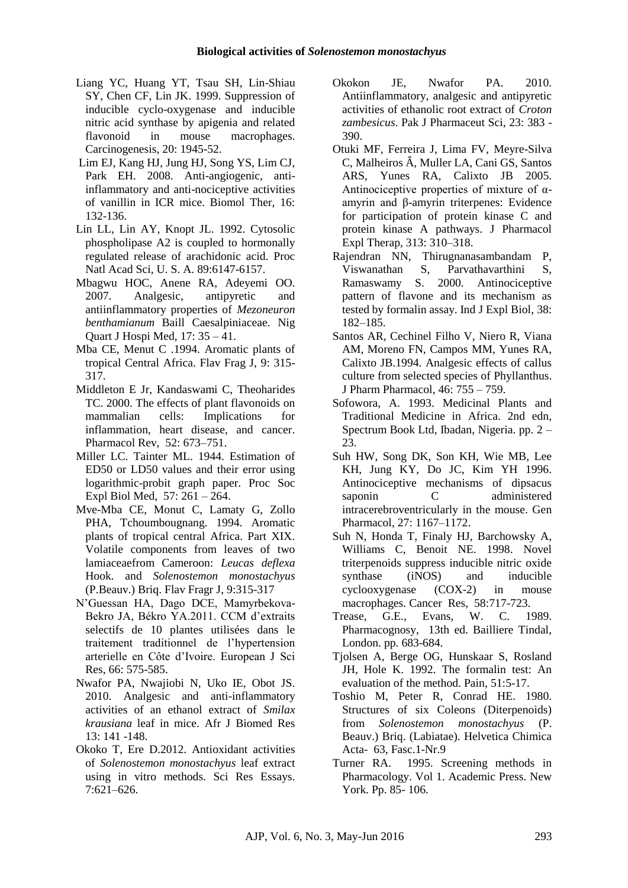- Liang YC, Huang YT, Tsau SH, Lin-Shiau SY, Chen CF, Lin JK. 1999. Suppression of inducible cyclo-oxygenase and inducible nitric acid synthase by apigenia and related flavonoid in mouse macrophages. Carcinogenesis, 20: 1945-52.
- Lim EJ, Kang HJ, Jung HJ, Song YS, Lim CJ, Park EH. 2008. Anti-angiogenic, antiinflammatory and anti-nociceptive activities of vanillin in ICR mice. Biomol Ther, 16: 132-136.
- Lin LL, Lin AY, Knopt JL. 1992. Cytosolic phospholipase A2 is coupled to hormonally regulated release of arachidonic acid. Proc Natl Acad Sci, U. S. A. 89:6147-6157.
- Mbagwu HOC, Anene RA, Adeyemi OO. 2007. Analgesic, antipyretic and antiinflammatory properties of *Mezoneuron benthamianum* Baill Caesalpiniaceae. Nig Quart J Hospi Med, 17: 35 – 41.
- Mba CE, Menut C .1994. Aromatic plants of tropical Central Africa. Flav Frag J, 9: 315- 317.
- Middleton E Jr, Kandaswami C, Theoharides TC. 2000. The effects of plant flavonoids on mammalian cells: Implications for inflammation, heart disease, and cancer. Pharmacol Rev, 52: 673–751.
- Miller LC. Tainter ML. 1944. Estimation of ED50 or LD50 values and their error using logarithmic-probit graph paper. Proc Soc Expl Biol Med, 57: 261 – 264.
- Mve-Mba CE, Monut C, Lamaty G, Zollo PHA, Tchoumbougnang. 1994. Aromatic plants of tropical central Africa. Part XIX. Volatile components from leaves of two lamiaceaefrom Cameroon: *Leucas deflexa* Hook. and *Solenostemon monostachyus* (P.Beauv.) Briq. Flav Fragr J, 9:315-317
- N'Guessan HA, Dago DCE, Mamyrbekova-Bekro JA, Békro YA.2011. CCM d'extraits selectifs de 10 plantes utilisées dans le traitement traditionnel de l'hypertension arterielle en Côte d'Ivoire. European J Sci Res, 66: 575-585.
- Nwafor PA, Nwajiobi N, Uko IE, Obot JS. 2010. Analgesic and anti-inflammatory activities of an ethanol extract of *Smilax krausiana* leaf in mice. Afr J Biomed Res 13: 141 -148.
- Okoko T, Ere D.2012. Antioxidant activities of *Solenostemon monostachyus* leaf extract using in vitro methods. Sci Res Essays. 7:621–626.
- Okokon JE, Nwafor PA. 2010. Antiinflammatory, analgesic and antipyretic activities of ethanolic root extract of *Croton zambesicus*. Pak J Pharmaceut Sci, 23: 383 - 390.
- Otuki MF, Ferreira J, Lima FV, Meyre-Silva C, Malheiros Â, Muller LA, Cani GS, Santos ARS, Yunes RA, Calixto JB 2005. Antinociceptive properties of mixture of  $\alpha$ amyrin and β-amyrin triterpenes: Evidence for participation of protein kinase C and protein kinase A pathways. J Pharmacol Expl Therap, 313: 310–318.
- Rajendran NN, Thirugnanasambandam P, Viswanathan S, Parvathavarthini S, Ramaswamy S. 2000. Antinociceptive pattern of flavone and its mechanism as tested by formalin assay. Ind J Expl Biol, 38: 182–185.
- Santos AR, Cechinel Filho V, Niero R, Viana AM, Moreno FN, Campos MM, Yunes RA, Calixto JB.1994. Analgesic effects of callus culture from selected species of Phyllanthus. J Pharm Pharmacol, 46: 755 – 759.
- Sofowora, A. 1993. Medicinal Plants and Traditional Medicine in Africa. 2nd edn, Spectrum Book Ltd, Ibadan, Nigeria. pp. 2 – 23.
- Suh HW, Song DK, Son KH, Wie MB, Lee KH, Jung KY, Do JC, Kim YH 1996. Antinociceptive mechanisms of dipsacus saponin C administered intracerebroventricularly in the mouse. Gen Pharmacol, 27: 1167–1172.
- Suh N, Honda T, Finaly HJ, Barchowsky A, Williams C, Benoit NE. 1998. Novel triterpenoids suppress inducible nitric oxide synthase (iNOS) and inducible cyclooxygenase (COX-2) in mouse macrophages. Cancer Res, 58:717-723.
- Trease, G.E., Evans, W. C. 1989. Pharmacognosy, 13th ed. Bailliere Tindal, London. pp. 683-684.
- Tjolsen A, Berge OG, Hunskaar S, Rosland JH, Hole K. 1992. The formalin test: An evaluation of the method. Pain, 51:5-17.
- Toshio M, Peter R, Conrad HE. 1980. Structures of six Coleons (Diterpenoids) from *Solenostemon monostachyus* (P. Beauv.) Briq. (Labiatae). Helvetica Chimica Acta- 63, Fasc.1-Nr.9
- Turner RA. 1995. Screening methods in Pharmacology. Vol 1. Academic Press. New York. Pp. 85- 106.